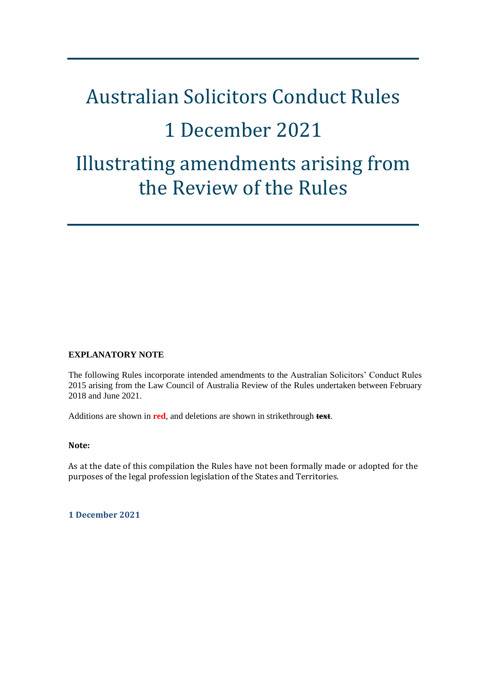# Australian Solicitors Conduct Rules 1 December 2021 Illustrating amendments arising from the Review of the Rules

#### **EXPLANATORY NOTE**

The following Rules incorporate intended amendments to the Australian Solicitors' Conduct Rules 2015 arising from the Law Council of Australia Review of the Rules undertaken between February 2018 and June 2021.

Additions are shown in **red**, and deletions are shown in strikethrough **text**.

#### **Note:**

As at the date of this compilation the Rules have not been formally made or adopted for the purposes of the legal profession legislation of the States and Territories.

**1 December 2021**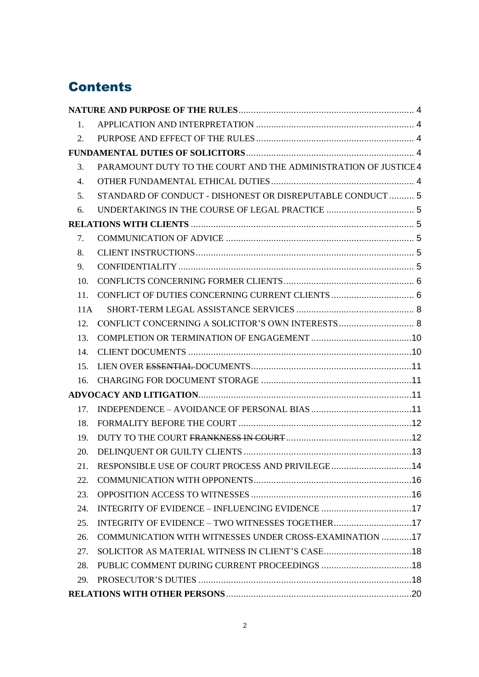# **Contents**

| 1.  |                                                                 |  |
|-----|-----------------------------------------------------------------|--|
| 2.  |                                                                 |  |
|     |                                                                 |  |
| 3.  | PARAMOUNT DUTY TO THE COURT AND THE ADMINISTRATION OF JUSTICE 4 |  |
| 4.  |                                                                 |  |
| 5.  | STANDARD OF CONDUCT - DISHONEST OR DISREPUTABLE CONDUCT  5      |  |
| 6.  |                                                                 |  |
|     |                                                                 |  |
| 7.  |                                                                 |  |
| 8.  |                                                                 |  |
| 9.  |                                                                 |  |
| 10. |                                                                 |  |
| 11. |                                                                 |  |
| 11A |                                                                 |  |
| 12. |                                                                 |  |
| 13. |                                                                 |  |
| 14. |                                                                 |  |
| 15. |                                                                 |  |
| 16. |                                                                 |  |
|     |                                                                 |  |
| 17. |                                                                 |  |
| 18. |                                                                 |  |
| 19. |                                                                 |  |
| 20. |                                                                 |  |
|     | 21. RESPONSIBLE USE OF COURT PROCESS AND PRIVILEGE 14           |  |
| 22. |                                                                 |  |
| 23. |                                                                 |  |
| 24. |                                                                 |  |
| 25. |                                                                 |  |
| 26. | COMMUNICATION WITH WITNESSES UNDER CROSS-EXAMINATION 17         |  |
| 27. |                                                                 |  |
| 28. |                                                                 |  |
| 29. |                                                                 |  |
|     |                                                                 |  |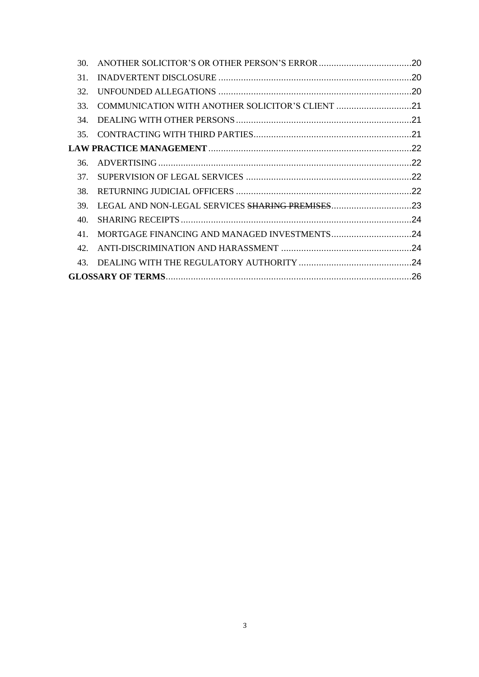| 30.                                                     |  |  |
|---------------------------------------------------------|--|--|
| 31.                                                     |  |  |
| 32.                                                     |  |  |
| COMMUNICATION WITH ANOTHER SOLICITOR'S CLIENT 21<br>33. |  |  |
| 34.                                                     |  |  |
| 35.                                                     |  |  |
|                                                         |  |  |
| 36.                                                     |  |  |
| 37.                                                     |  |  |
| 38.                                                     |  |  |
| 39.                                                     |  |  |
| 40.                                                     |  |  |
| 41                                                      |  |  |
| 42.                                                     |  |  |
| 43                                                      |  |  |
|                                                         |  |  |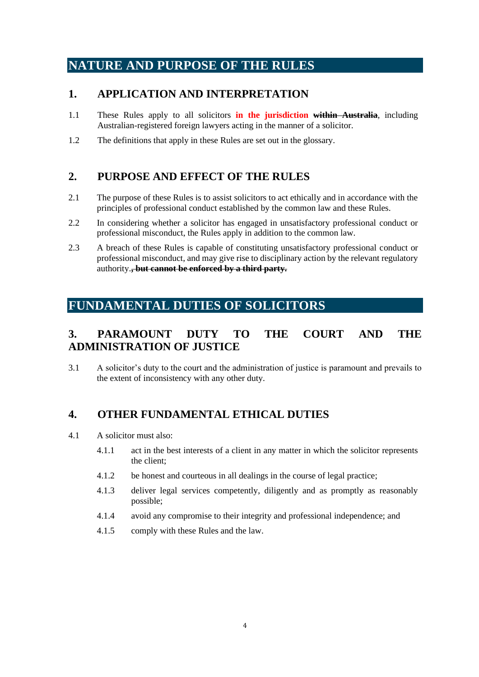# <span id="page-3-0"></span>**NATURE AND PURPOSE OF THE RULES**

### <span id="page-3-1"></span>**1. APPLICATION AND INTERPRETATION**

- 1.1 These Rules apply to all solicitors **in the jurisdiction within Australia**, including Australian-registered foreign lawyers acting in the manner of a solicitor.
- 1.2 The definitions that apply in these Rules are set out in the glossary.

### <span id="page-3-2"></span>**2. PURPOSE AND EFFECT OF THE RULES**

- 2.1 The purpose of these Rules is to assist solicitors to act ethically and in accordance with the principles of professional conduct established by the common law and these Rules.
- 2.2 In considering whether a solicitor has engaged in unsatisfactory professional conduct or professional misconduct, the Rules apply in addition to the common law.
- 2.3 A breach of these Rules is capable of constituting unsatisfactory professional conduct or professional misconduct, and may give rise to disciplinary action by the relevant regulatory authority.**, but cannot be enforced by a third party.**

# <span id="page-3-3"></span>**FUNDAMENTAL DUTIES OF SOLICITORS**

## <span id="page-3-4"></span>**3. PARAMOUNT DUTY TO THE COURT AND THE ADMINISTRATION OF JUSTICE**

3.1 A solicitor's duty to the court and the administration of justice is paramount and prevails to the extent of inconsistency with any other duty.

### <span id="page-3-5"></span>**4. OTHER FUNDAMENTAL ETHICAL DUTIES**

- 4.1 A solicitor must also:
	- 4.1.1 act in the best interests of a client in any matter in which the solicitor represents the client;
	- 4.1.2 be honest and courteous in all dealings in the course of legal practice;
	- 4.1.3 deliver legal services competently, diligently and as promptly as reasonably possible;
	- 4.1.4 avoid any compromise to their integrity and professional independence; and
	- 4.1.5 comply with these Rules and the law.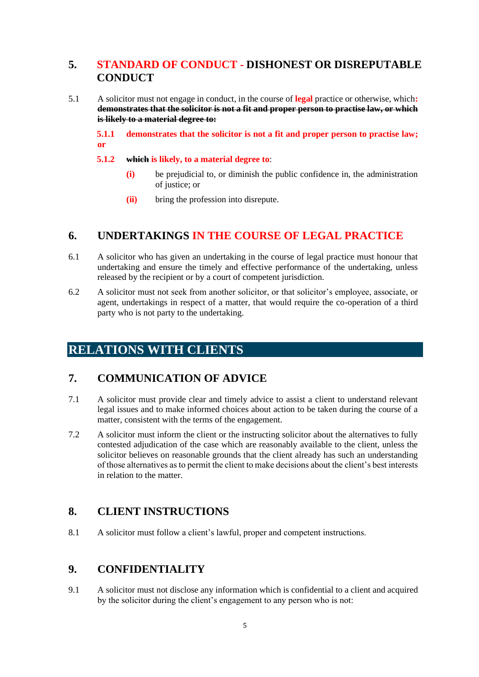### <span id="page-4-0"></span>**5. STANDARD OF CONDUCT - DISHONEST OR DISREPUTABLE CONDUCT**

5.1 A solicitor must not engage in conduct, in the course of **legal** practice or otherwise, which**: demonstrates that the solicitor is not a fit and proper person to practise law, or which is likely to a material degree to:**

**5.1.1 demonstrates that the solicitor is not a fit and proper person to practise law; or** 

#### **5.1.2 which is likely, to a material degree to**:

- **(i)** be prejudicial to, or diminish the public confidence in, the administration of justice; or
- **(ii)** bring the profession into disrepute.

### <span id="page-4-1"></span>**6. UNDERTAKINGS IN THE COURSE OF LEGAL PRACTICE**

- 6.1 A solicitor who has given an undertaking in the course of legal practice must honour that undertaking and ensure the timely and effective performance of the undertaking, unless released by the recipient or by a court of competent jurisdiction.
- 6.2 A solicitor must not seek from another solicitor, or that solicitor's employee, associate, or agent, undertakings in respect of a matter, that would require the co-operation of a third party who is not party to the undertaking.

# <span id="page-4-2"></span>**RELATIONS WITH CLIENTS**

### <span id="page-4-3"></span>**7. COMMUNICATION OF ADVICE**

- 7.1 A solicitor must provide clear and timely advice to assist a client to understand relevant legal issues and to make informed choices about action to be taken during the course of a matter, consistent with the terms of the engagement.
- 7.2 A solicitor must inform the client or the instructing solicitor about the alternatives to fully contested adjudication of the case which are reasonably available to the client, unless the solicitor believes on reasonable grounds that the client already has such an understanding of those alternatives as to permit the client to make decisions about the client's best interests in relation to the matter.

### <span id="page-4-4"></span>**8. CLIENT INSTRUCTIONS**

8.1 A solicitor must follow a client's lawful, proper and competent instructions.

### <span id="page-4-5"></span>**9. CONFIDENTIALITY**

9.1 A solicitor must not disclose any information which is confidential to a client and acquired by the solicitor during the client's engagement to any person who is not: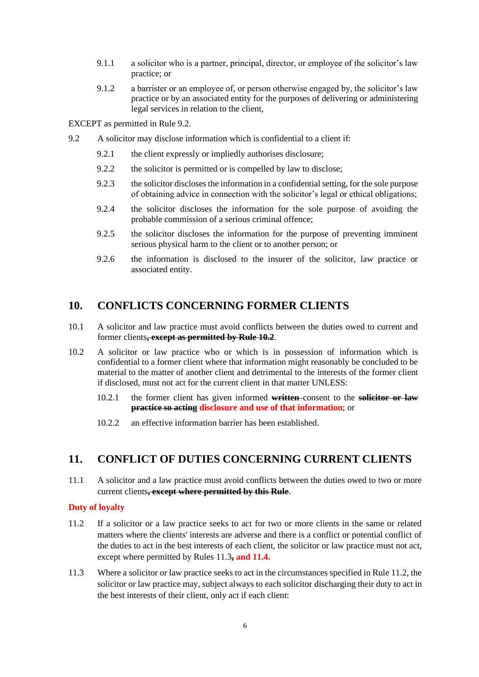- 9.1.1 a solicitor who is a partner, principal, director, or employee of the solicitor's law practice; or
- 9.1.2 a barrister or an employee of, or person otherwise engaged by, the solicitor's law practice or by an associated entity for the purposes of delivering or administering legal services in relation to the client,

EXCEPT as permitted in Rule 9.2.

- 9.2 A solicitor may disclose information which is confidential to a client if:
	- 9.2.1 the client expressly or impliedly authorises disclosure;
	- 9.2.2 the solicitor is permitted or is compelled by law to disclose;
	- 9.2.3 the solicitor discloses the information in a confidential setting, for the sole purpose of obtaining advice in connection with the solicitor's legal or ethical obligations;
	- 9.2.4 the solicitor discloses the information for the sole purpose of avoiding the probable commission of a serious criminal offence;
	- 9.2.5 the solicitor discloses the information for the purpose of preventing imminent serious physical harm to the client or to another person; or
	- 9.2.6 the information is disclosed to the insurer of the solicitor, law practice or associated entity.

### <span id="page-5-0"></span>**10. CONFLICTS CONCERNING FORMER CLIENTS**

- 10.1 A solicitor and law practice must avoid conflicts between the duties owed to current and former clients**, except as permitted by Rule 10.2**.
- 10.2 A solicitor or law practice who or which is in possession of information which is confidential to a former client where that information might reasonably be concluded to be material to the matter of another client and detrimental to the interests of the former client if disclosed, must not act for the current client in that matter UNLESS:
	- 10.2.1 the former client has given informed **written** consent to the **solicitor or law practice so acting disclosure and use of that information**; or
	- 10.2.2 an effective information barrier has been established.

### <span id="page-5-1"></span>**11. CONFLICT OF DUTIES CONCERNING CURRENT CLIENTS**

11.1 A solicitor and a law practice must avoid conflicts between the duties owed to two or more current clients**, except where permitted by this Rule**.

#### **Duty of loyalty**

- 11.2 If a solicitor or a law practice seeks to act for two or more clients in the same or related matters where the clients' interests are adverse and there is a conflict or potential conflict of the duties to act in the best interests of each client, the solicitor or law practice must not act, except where permitted by Rules 11.3**, and 11.4.**
- 11.3 Where a solicitor or law practice seeks to act in the circumstances specified in Rule 11.2, the solicitor or law practice may, subject always to each solicitor discharging their duty to act in the best interests of their client, only act if each client: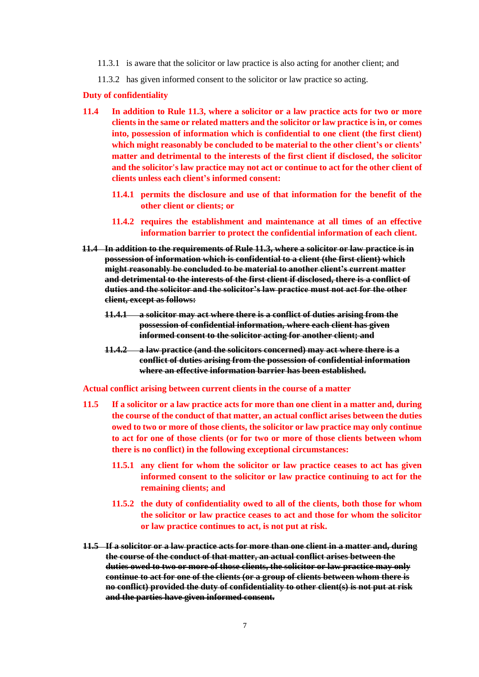- 11.3.1 is aware that the solicitor or law practice is also acting for another client; and
- 11.3.2 has given informed consent to the solicitor or law practice so acting.

#### **Duty of confidentiality**

- **11.4 In addition to Rule 11.3, where a solicitor or a law practice acts for two or more clients in the same or related matters and the solicitor or law practice is in, or comes into, possession of information which is confidential to one client (the first client) which might reasonably be concluded to be material to the other client's or clients' matter and detrimental to the interests of the first client if disclosed, the solicitor and the solicitor's law practice may not act or continue to act for the other client of clients unless each client's informed consent:**
	- **11.4.1 permits the disclosure and use of that information for the benefit of the other client or clients; or**
	- **11.4.2 requires the establishment and maintenance at all times of an effective information barrier to protect the confidential information of each client.**
- **11.4 In addition to the requirements of Rule 11.3, where a solicitor or law practice is in possession of information which is confidential to a client (the first client) which might reasonably be concluded to be material to another client's current matter and detrimental to the interests of the first client if disclosed, there is a conflict of duties and the solicitor and the solicitor's law practice must not act for the other client, except as follows:**
	- **11.4.1 a solicitor may act where there is a conflict of duties arising from the possession of confidential information, where each client has given informed consent to the solicitor acting for another client; and**
	- **11.4.2 a law practice (and the solicitors concerned) may act where there is a conflict of duties arising from the possession of confidential information where an effective information barrier has been established.**

#### **Actual conflict arising between current clients in the course of a matter**

- **11.5 If a solicitor or a law practice acts for more than one client in a matter and, during the course of the conduct of that matter, an actual conflict arises between the duties owed to two or more of those clients, the solicitor or law practice may only continue to act for one of those clients (or for two or more of those clients between whom there is no conflict) in the following exceptional circumstances:**
	- **11.5.1 any client for whom the solicitor or law practice ceases to act has given informed consent to the solicitor or law practice continuing to act for the remaining clients; and**
	- **11.5.2 the duty of confidentiality owed to all of the clients, both those for whom the solicitor or law practice ceases to act and those for whom the solicitor or law practice continues to act, is not put at risk.**
- **11.5 If a solicitor or a law practice acts for more than one client in a matter and, during the course of the conduct of that matter, an actual conflict arises between the duties owed to two or more of those clients, the solicitor or law practice may only continue to act for one of the clients (or a group of clients between whom there is no conflict) provided the duty of confidentiality to other client(s) is not put at risk and the parties have given informed consent.**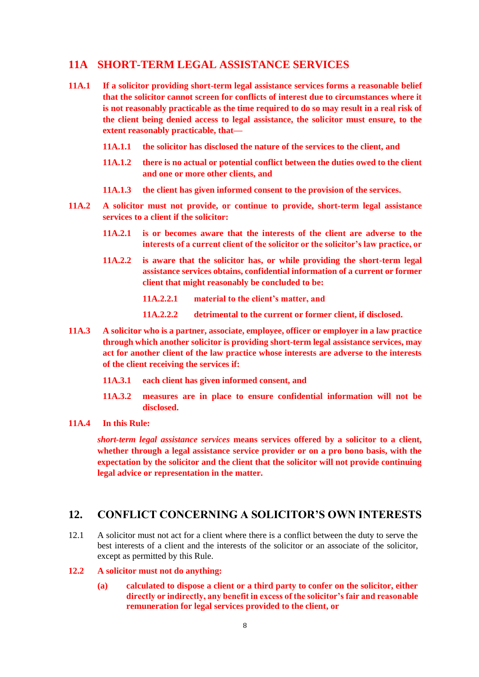### <span id="page-7-0"></span>**11A SHORT-TERM LEGAL ASSISTANCE SERVICES**

- **11A.1 If a solicitor providing short-term legal assistance services forms a reasonable belief that the solicitor cannot screen for conflicts of interest due to circumstances where it is not reasonably practicable as the time required to do so may result in a real risk of the client being denied access to legal assistance, the solicitor must ensure, to the extent reasonably practicable, that—**
	- **11A.1.1 the solicitor has disclosed the nature of the services to the client, and**
	- **11A.1.2 there is no actual or potential conflict between the duties owed to the client and one or more other clients, and**
	- **11A.1.3 the client has given informed consent to the provision of the services.**
- **11A.2 A solicitor must not provide, or continue to provide, short-term legal assistance services to a client if the solicitor:**
	- **11A.2.1 is or becomes aware that the interests of the client are adverse to the interests of a current client of the solicitor or the solicitor's law practice, or**
	- **11A.2.2 is aware that the solicitor has, or while providing the short-term legal assistance services obtains, confidential information of a current or former client that might reasonably be concluded to be:**

**11A.2.2.1 material to the client's matter, and**

- **11A.2.2.2 detrimental to the current or former client, if disclosed.**
- **11A.3 A solicitor who is a partner, associate, employee, officer or employer in a law practice through which another solicitor is providing short-term legal assistance services, may act for another client of the law practice whose interests are adverse to the interests of the client receiving the services if:**
	- **11A.3.1 each client has given informed consent, and**
	- **11A.3.2 measures are in place to ensure confidential information will not be disclosed.**
- **11A.4 In this Rule:**

*short-term legal assistance services* **means services offered by a solicitor to a client, whether through a legal assistance service provider or on a pro bono basis, with the expectation by the solicitor and the client that the solicitor will not provide continuing legal advice or representation in the matter.**

### <span id="page-7-1"></span>**12. CONFLICT CONCERNING A SOLICITOR'S OWN INTERESTS**

- 12.1 A solicitor must not act for a client where there is a conflict between the duty to serve the best interests of a client and the interests of the solicitor or an associate of the solicitor, except as permitted by this Rule.
- **12.2 A solicitor must not do anything:** 
	- **(a) calculated to dispose a client or a third party to confer on the solicitor, either directly or indirectly, any benefit in excess of the solicitor's fair and reasonable remuneration for legal services provided to the client, or**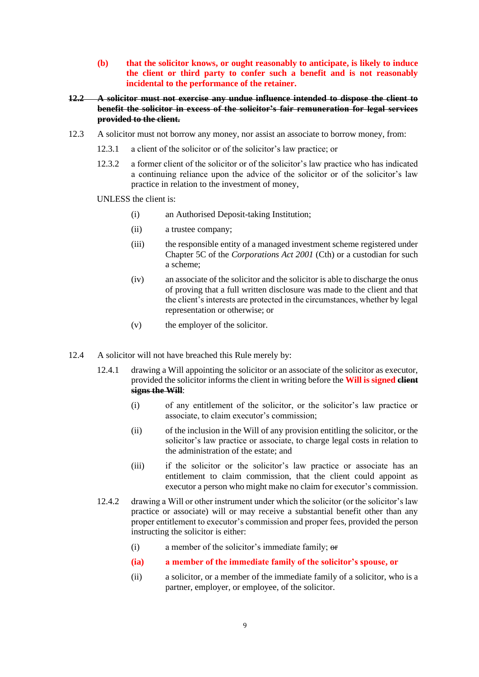- **(b) that the solicitor knows, or ought reasonably to anticipate, is likely to induce the client or third party to confer such a benefit and is not reasonably incidental to the performance of the retainer.**
- **12.2 A solicitor must not exercise any undue influence intended to dispose the client to benefit the solicitor in excess of the solicitor's fair remuneration for legal services provided to the client.**
- 12.3 A solicitor must not borrow any money, nor assist an associate to borrow money, from:
	- 12.3.1 a client of the solicitor or of the solicitor's law practice; or
	- 12.3.2 a former client of the solicitor or of the solicitor's law practice who has indicated a continuing reliance upon the advice of the solicitor or of the solicitor's law practice in relation to the investment of money,
	- UNLESS the client is:
		- (i) an Authorised Deposit-taking Institution;
		- (ii) a trustee company;
		- (iii) the responsible entity of a managed investment scheme registered under Chapter 5C of the *Corporations Act 2001* (Cth) or a custodian for such a scheme;
		- (iv) an associate of the solicitor and the solicitor is able to discharge the onus of proving that a full written disclosure was made to the client and that the client's interests are protected in the circumstances, whether by legal representation or otherwise; or
		- (v) the employer of the solicitor.
- 12.4 A solicitor will not have breached this Rule merely by:
	- 12.4.1 drawing a Will appointing the solicitor or an associate of the solicitor as executor, provided the solicitor informs the client in writing before the **Will is signed client signs the Will**:
		- (i) of any entitlement of the solicitor, or the solicitor's law practice or associate, to claim executor's commission;
		- (ii) of the inclusion in the Will of any provision entitling the solicitor, or the solicitor's law practice or associate, to charge legal costs in relation to the administration of the estate; and
		- (iii) if the solicitor or the solicitor's law practice or associate has an entitlement to claim commission, that the client could appoint as executor a person who might make no claim for executor's commission.
	- 12.4.2 drawing a Will or other instrument under which the solicitor (or the solicitor's law practice or associate) will or may receive a substantial benefit other than any proper entitlement to executor's commission and proper fees, provided the person instructing the solicitor is either:
		- (i) a member of the solicitor's immediate family; or
		- **(ia) a member of the immediate family of the solicitor's spouse, or**
		- (ii) a solicitor, or a member of the immediate family of a solicitor, who is a partner, employer, or employee, of the solicitor.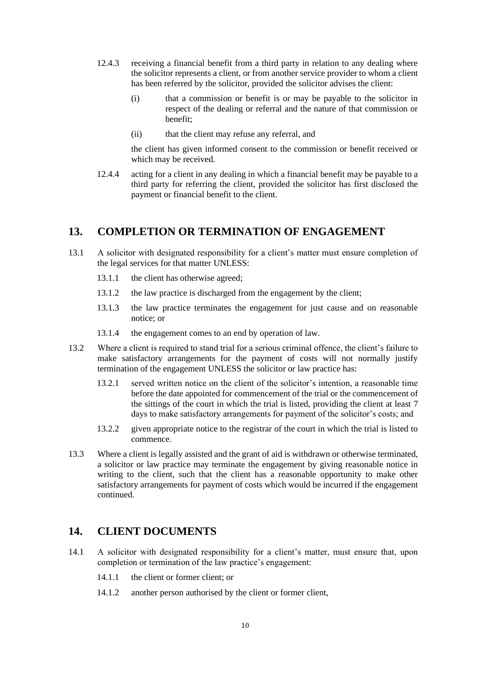- 12.4.3 receiving a financial benefit from a third party in relation to any dealing where the solicitor represents a client, or from another service provider to whom a client has been referred by the solicitor, provided the solicitor advises the client:
	- (i) that a commission or benefit is or may be payable to the solicitor in respect of the dealing or referral and the nature of that commission or benefit;
	- (ii) that the client may refuse any referral, and

the client has given informed consent to the commission or benefit received or which may be received.

12.4.4 acting for a client in any dealing in which a financial benefit may be payable to a third party for referring the client, provided the solicitor has first disclosed the payment or financial benefit to the client.

### <span id="page-9-0"></span>**13. COMPLETION OR TERMINATION OF ENGAGEMENT**

- 13.1 A solicitor with designated responsibility for a client's matter must ensure completion of the legal services for that matter UNLESS:
	- 13.1.1 the client has otherwise agreed;
	- 13.1.2 the law practice is discharged from the engagement by the client;
	- 13.1.3 the law practice terminates the engagement for just cause and on reasonable notice; or
	- 13.1.4 the engagement comes to an end by operation of law.
- 13.2 Where a client is required to stand trial for a serious criminal offence, the client's failure to make satisfactory arrangements for the payment of costs will not normally justify termination of the engagement UNLESS the solicitor or law practice has:
	- 13.2.1 served written notice on the client of the solicitor's intention, a reasonable time before the date appointed for commencement of the trial or the commencement of the sittings of the court in which the trial is listed, providing the client at least 7 days to make satisfactory arrangements for payment of the solicitor's costs; and
	- 13.2.2 given appropriate notice to the registrar of the court in which the trial is listed to commence.
- 13.3 Where a client is legally assisted and the grant of aid is withdrawn or otherwise terminated, a solicitor or law practice may terminate the engagement by giving reasonable notice in writing to the client, such that the client has a reasonable opportunity to make other satisfactory arrangements for payment of costs which would be incurred if the engagement continued.

### <span id="page-9-1"></span>**14. CLIENT DOCUMENTS**

- 14.1 A solicitor with designated responsibility for a client's matter, must ensure that, upon completion or termination of the law practice's engagement:
	- 14.1.1 the client or former client; or
	- 14.1.2 another person authorised by the client or former client,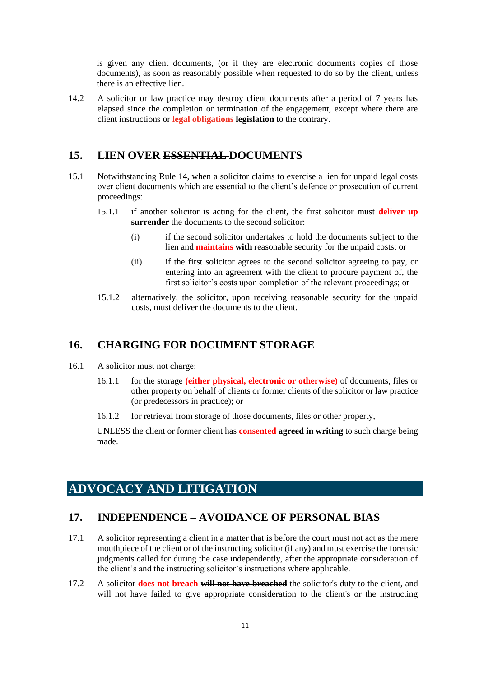is given any client documents, (or if they are electronic documents copies of those documents), as soon as reasonably possible when requested to do so by the client, unless there is an effective lien.

14.2 A solicitor or law practice may destroy client documents after a period of 7 years has elapsed since the completion or termination of the engagement, except where there are client instructions or **legal obligations legislation** to the contrary.

### <span id="page-10-0"></span>**15. LIEN OVER ESSENTIAL DOCUMENTS**

- 15.1 Notwithstanding Rule 14, when a solicitor claims to exercise a lien for unpaid legal costs over client documents which are essential to the client's defence or prosecution of current proceedings:
	- 15.1.1 if another solicitor is acting for the client, the first solicitor must **deliver up surrender** the documents to the second solicitor:
		- (i) if the second solicitor undertakes to hold the documents subject to the lien and **maintains with** reasonable security for the unpaid costs; or
		- (ii) if the first solicitor agrees to the second solicitor agreeing to pay, or entering into an agreement with the client to procure payment of, the first solicitor's costs upon completion of the relevant proceedings; or
	- 15.1.2 alternatively, the solicitor, upon receiving reasonable security for the unpaid costs, must deliver the documents to the client.

#### <span id="page-10-1"></span>**16. CHARGING FOR DOCUMENT STORAGE**

- 16.1 A solicitor must not charge:
	- 16.1.1 for the storage **(either physical, electronic or otherwise)** of documents, files or other property on behalf of clients or former clients of the solicitor or law practice (or predecessors in practice); or
	- 16.1.2 for retrieval from storage of those documents, files or other property,

UNLESS the client or former client has **consented agreed in writing** to such charge being made.

# <span id="page-10-2"></span>**ADVOCACY AND LITIGATION**

#### <span id="page-10-3"></span>**17. INDEPENDENCE – AVOIDANCE OF PERSONAL BIAS**

- 17.1 A solicitor representing a client in a matter that is before the court must not act as the mere mouthpiece of the client or of the instructing solicitor (if any) and must exercise the forensic judgments called for during the case independently, after the appropriate consideration of the client's and the instructing solicitor's instructions where applicable.
- 17.2 A solicitor **does not breach will not have breached** the solicitor's duty to the client, and will not have failed to give appropriate consideration to the client's or the instructing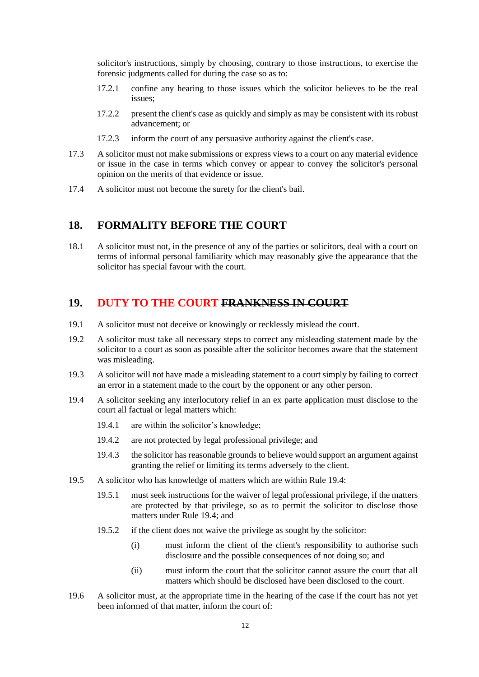solicitor's instructions, simply by choosing, contrary to those instructions, to exercise the forensic judgments called for during the case so as to:

- 17.2.1 confine any hearing to those issues which the solicitor believes to be the real issues;
- 17.2.2 present the client's case as quickly and simply as may be consistent with its robust advancement; or
- 17.2.3 inform the court of any persuasive authority against the client's case.
- 17.3 A solicitor must not make submissions or express views to a court on any material evidence or issue in the case in terms which convey or appear to convey the solicitor's personal opinion on the merits of that evidence or issue.
- 17.4 A solicitor must not become the surety for the client's bail.

### <span id="page-11-0"></span>**18. FORMALITY BEFORE THE COURT**

18.1 A solicitor must not, in the presence of any of the parties or solicitors, deal with a court on terms of informal personal familiarity which may reasonably give the appearance that the solicitor has special favour with the court.

### <span id="page-11-1"></span>**19. DUTY TO THE COURT FRANKNESS IN COURT**

- 19.1 A solicitor must not deceive or knowingly or recklessly mislead the court.
- 19.2 A solicitor must take all necessary steps to correct any misleading statement made by the solicitor to a court as soon as possible after the solicitor becomes aware that the statement was misleading.
- 19.3 A solicitor will not have made a misleading statement to a court simply by failing to correct an error in a statement made to the court by the opponent or any other person.
- 19.4 A solicitor seeking any interlocutory relief in an ex parte application must disclose to the court all factual or legal matters which:
	- 19.4.1 are within the solicitor's knowledge;
	- 19.4.2 are not protected by legal professional privilege; and
	- 19.4.3 the solicitor has reasonable grounds to believe would support an argument against granting the relief or limiting its terms adversely to the client.
- 19.5 A solicitor who has knowledge of matters which are within Rule 19.4:
	- 19.5.1 must seek instructions for the waiver of legal professional privilege, if the matters are protected by that privilege, so as to permit the solicitor to disclose those matters under Rule 19.4; and
	- 19.5.2 if the client does not waive the privilege as sought by the solicitor:
		- (i) must inform the client of the client's responsibility to authorise such disclosure and the possible consequences of not doing so; and
		- (ii) must inform the court that the solicitor cannot assure the court that all matters which should be disclosed have been disclosed to the court.
- 19.6 A solicitor must, at the appropriate time in the hearing of the case if the court has not yet been informed of that matter, inform the court of: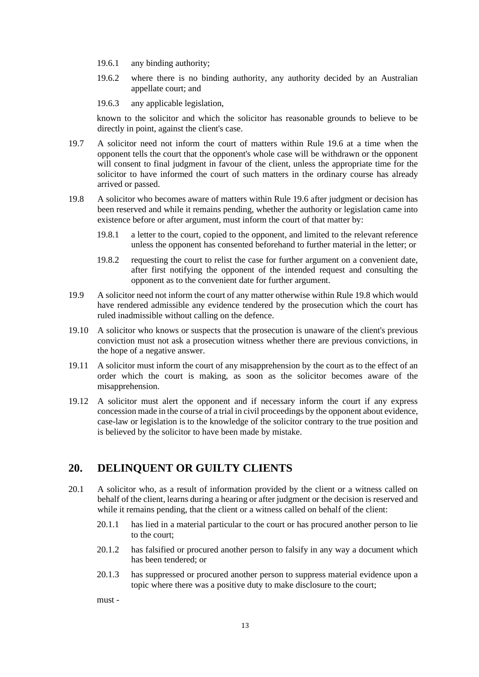- 19.6.1 any binding authority;
- 19.6.2 where there is no binding authority, any authority decided by an Australian appellate court; and
- 19.6.3 any applicable legislation,

known to the solicitor and which the solicitor has reasonable grounds to believe to be directly in point, against the client's case.

- 19.7 A solicitor need not inform the court of matters within Rule 19.6 at a time when the opponent tells the court that the opponent's whole case will be withdrawn or the opponent will consent to final judgment in favour of the client, unless the appropriate time for the solicitor to have informed the court of such matters in the ordinary course has already arrived or passed.
- 19.8 A solicitor who becomes aware of matters within Rule 19.6 after judgment or decision has been reserved and while it remains pending, whether the authority or legislation came into existence before or after argument, must inform the court of that matter by:
	- 19.8.1 a letter to the court, copied to the opponent, and limited to the relevant reference unless the opponent has consented beforehand to further material in the letter; or
	- 19.8.2 requesting the court to relist the case for further argument on a convenient date, after first notifying the opponent of the intended request and consulting the opponent as to the convenient date for further argument.
- 19.9 A solicitor need not inform the court of any matter otherwise within Rule 19.8 which would have rendered admissible any evidence tendered by the prosecution which the court has ruled inadmissible without calling on the defence.
- 19.10 A solicitor who knows or suspects that the prosecution is unaware of the client's previous conviction must not ask a prosecution witness whether there are previous convictions, in the hope of a negative answer.
- 19.11 A solicitor must inform the court of any misapprehension by the court as to the effect of an order which the court is making, as soon as the solicitor becomes aware of the misapprehension.
- 19.12 A solicitor must alert the opponent and if necessary inform the court if any express concession made in the course of a trial in civil proceedings by the opponent about evidence, case-law or legislation is to the knowledge of the solicitor contrary to the true position and is believed by the solicitor to have been made by mistake.

### <span id="page-12-0"></span>**20. DELINQUENT OR GUILTY CLIENTS**

- 20.1 A solicitor who, as a result of information provided by the client or a witness called on behalf of the client, learns during a hearing or after judgment or the decision is reserved and while it remains pending, that the client or a witness called on behalf of the client:
	- 20.1.1 has lied in a material particular to the court or has procured another person to lie to the court;
	- 20.1.2 has falsified or procured another person to falsify in any way a document which has been tendered; or
	- 20.1.3 has suppressed or procured another person to suppress material evidence upon a topic where there was a positive duty to make disclosure to the court;

must -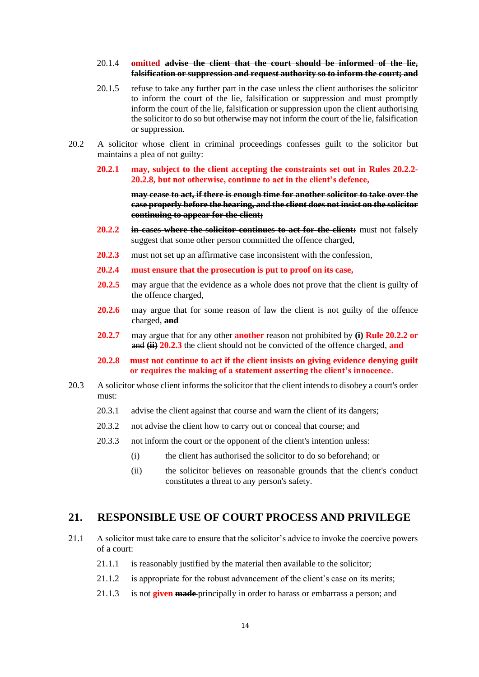#### 20.1.4 **omitted advise the client that the court should be informed of the lie, falsification or suppression and request authority so to inform the court; and**

- 20.1.5 refuse to take any further part in the case unless the client authorises the solicitor to inform the court of the lie, falsification or suppression and must promptly inform the court of the lie, falsification or suppression upon the client authorising the solicitor to do so but otherwise may not inform the court of the lie, falsification or suppression.
- 20.2 A solicitor whose client in criminal proceedings confesses guilt to the solicitor but maintains a plea of not guilty:

#### **20.2.1 may, subject to the client accepting the constraints set out in Rules 20.2.2- 20.2.8, but not otherwise, continue to act in the client's defence,**

**may cease to act, if there is enough time for another solicitor to take over the case properly before the hearing, and the client does not insist on the solicitor continuing to appear for the client;**

- **20.2.2 in cases where the solicitor continues to act for the client:** must not falsely suggest that some other person committed the offence charged,
- **20.2.3** must not set up an affirmative case inconsistent with the confession,
- **20.2.4 must ensure that the prosecution is put to proof on its case,**
- **20.2.5** may argue that the evidence as a whole does not prove that the client is guilty of the offence charged,
- 20.2.6 may argue that for some reason of law the client is not guilty of the offence charged, **and**
- **20.2.7** may argue that for any other **another** reason not prohibited by **(i) Rule 20.2.2 or** and **(ii) 20.2.3** the client should not be convicted of the offence charged, **and**
- **20.2.8 must not continue to act if the client insists on giving evidence denying guilt or requires the making of a statement asserting the client's innocence**.
- 20.3 A solicitor whose client informs the solicitor that the client intends to disobey a court's order must:
	- 20.3.1 advise the client against that course and warn the client of its dangers;
	- 20.3.2 not advise the client how to carry out or conceal that course; and
	- 20.3.3 not inform the court or the opponent of the client's intention unless:
		- (i) the client has authorised the solicitor to do so beforehand; or
		- (ii) the solicitor believes on reasonable grounds that the client's conduct constitutes a threat to any person's safety.

#### <span id="page-13-0"></span>**21. RESPONSIBLE USE OF COURT PROCESS AND PRIVILEGE**

- 21.1 A solicitor must take care to ensure that the solicitor's advice to invoke the coercive powers of a court:
	- 21.1.1 is reasonably justified by the material then available to the solicitor;
	- 21.1.2 is appropriate for the robust advancement of the client's case on its merits;
	- 21.1.3 is not **given made** principally in order to harass or embarrass a person; and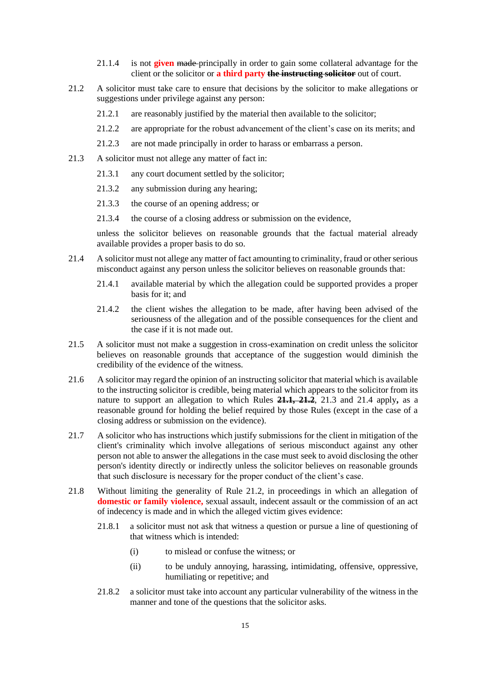- 21.1.4 is not **given** made principally in order to gain some collateral advantage for the client or the solicitor or **a third party the instructing solicitor** out of court.
- 21.2 A solicitor must take care to ensure that decisions by the solicitor to make allegations or suggestions under privilege against any person:
	- 21.2.1 are reasonably justified by the material then available to the solicitor;
	- 21.2.2 are appropriate for the robust advancement of the client's case on its merits; and
	- 21.2.3 are not made principally in order to harass or embarrass a person.
- 21.3 A solicitor must not allege any matter of fact in:
	- 21.3.1 any court document settled by the solicitor;
	- 21.3.2 any submission during any hearing;
	- 21.3.3 the course of an opening address; or
	- 21.3.4 the course of a closing address or submission on the evidence,

unless the solicitor believes on reasonable grounds that the factual material already available provides a proper basis to do so.

- 21.4 A solicitor must not allege any matter of fact amounting to criminality, fraud or other serious misconduct against any person unless the solicitor believes on reasonable grounds that:
	- 21.4.1 available material by which the allegation could be supported provides a proper basis for it; and
	- 21.4.2 the client wishes the allegation to be made, after having been advised of the seriousness of the allegation and of the possible consequences for the client and the case if it is not made out.
- 21.5 A solicitor must not make a suggestion in cross-examination on credit unless the solicitor believes on reasonable grounds that acceptance of the suggestion would diminish the credibility of the evidence of the witness.
- 21.6 A solicitor may regard the opinion of an instructing solicitor that material which is available to the instructing solicitor is credible, being material which appears to the solicitor from its nature to support an allegation to which Rules **21.1, 21.2**, 21.3 and 21.4 apply**,** as a reasonable ground for holding the belief required by those Rules (except in the case of a closing address or submission on the evidence).
- 21.7 A solicitor who has instructions which justify submissions for the client in mitigation of the client's criminality which involve allegations of serious misconduct against any other person not able to answer the allegations in the case must seek to avoid disclosing the other person's identity directly or indirectly unless the solicitor believes on reasonable grounds that such disclosure is necessary for the proper conduct of the client's case.
- 21.8 Without limiting the generality of Rule 21.2, in proceedings in which an allegation of **domestic or family violence,** sexual assault, indecent assault or the commission of an act of indecency is made and in which the alleged victim gives evidence:
	- 21.8.1 a solicitor must not ask that witness a question or pursue a line of questioning of that witness which is intended:
		- (i) to mislead or confuse the witness; or
		- (ii) to be unduly annoying, harassing, intimidating, offensive, oppressive, humiliating or repetitive; and
	- 21.8.2 a solicitor must take into account any particular vulnerability of the witness in the manner and tone of the questions that the solicitor asks.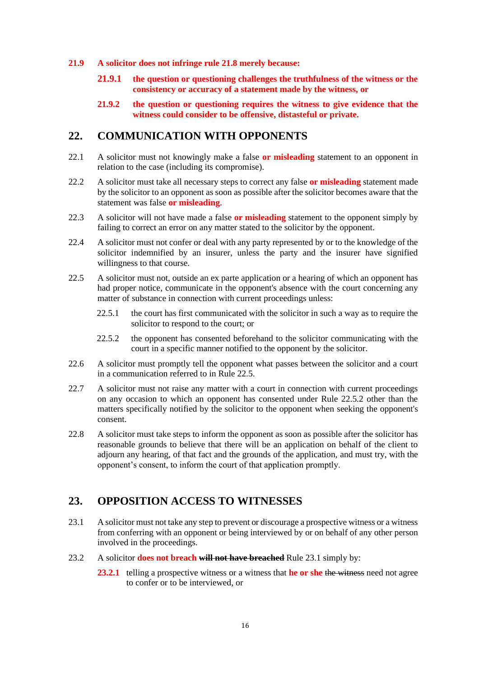- **21.9 A solicitor does not infringe rule 21.8 merely because:**
	- **21.9.1 the question or questioning challenges the truthfulness of the witness or the consistency or accuracy of a statement made by the witness, or**
	- **21.9.2 the question or questioning requires the witness to give evidence that the witness could consider to be offensive, distasteful or private.**

### <span id="page-15-0"></span>**22. COMMUNICATION WITH OPPONENTS**

- 22.1 A solicitor must not knowingly make a false **or misleading** statement to an opponent in relation to the case (including its compromise).
- 22.2 A solicitor must take all necessary steps to correct any false **or misleading** statement made by the solicitor to an opponent as soon as possible after the solicitor becomes aware that the statement was false **or misleading**.
- 22.3 A solicitor will not have made a false **or misleading** statement to the opponent simply by failing to correct an error on any matter stated to the solicitor by the opponent.
- 22.4 A solicitor must not confer or deal with any party represented by or to the knowledge of the solicitor indemnified by an insurer, unless the party and the insurer have signified willingness to that course.
- 22.5 A solicitor must not, outside an ex parte application or a hearing of which an opponent has had proper notice, communicate in the opponent's absence with the court concerning any matter of substance in connection with current proceedings unless:
	- 22.5.1 the court has first communicated with the solicitor in such a way as to require the solicitor to respond to the court; or
	- 22.5.2 the opponent has consented beforehand to the solicitor communicating with the court in a specific manner notified to the opponent by the solicitor.
- 22.6 A solicitor must promptly tell the opponent what passes between the solicitor and a court in a communication referred to in Rule 22.5.
- 22.7 A solicitor must not raise any matter with a court in connection with current proceedings on any occasion to which an opponent has consented under Rule 22.5.2 other than the matters specifically notified by the solicitor to the opponent when seeking the opponent's consent.
- 22.8 A solicitor must take steps to inform the opponent as soon as possible after the solicitor has reasonable grounds to believe that there will be an application on behalf of the client to adjourn any hearing, of that fact and the grounds of the application, and must try, with the opponent's consent, to inform the court of that application promptly.

### <span id="page-15-1"></span>**23. OPPOSITION ACCESS TO WITNESSES**

- 23.1 A solicitor must not take any step to prevent or discourage a prospective witness or a witness from conferring with an opponent or being interviewed by or on behalf of any other person involved in the proceedings.
- 23.2 A solicitor **does not breach will not have breached** Rule 23.1 simply by:
	- **23.2.1** telling a prospective witness or a witness that **he or she** the witness need not agree to confer or to be interviewed, or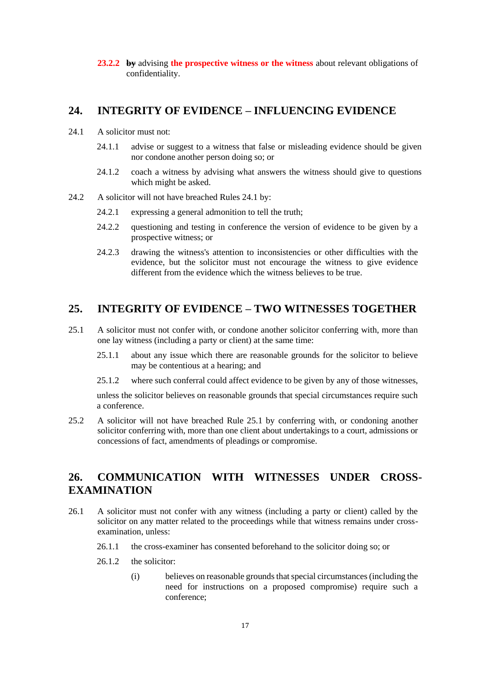**23.2.2 by** advising **the prospective witness or the witness** about relevant obligations of confidentiality.

### <span id="page-16-0"></span>**24. INTEGRITY OF EVIDENCE – INFLUENCING EVIDENCE**

- 24.1 A solicitor must not:
	- 24.1.1 advise or suggest to a witness that false or misleading evidence should be given nor condone another person doing so; or
	- 24.1.2 coach a witness by advising what answers the witness should give to questions which might be asked.
- 24.2 A solicitor will not have breached Rules 24.1 by:
	- 24.2.1 expressing a general admonition to tell the truth;
	- 24.2.2 questioning and testing in conference the version of evidence to be given by a prospective witness; or
	- 24.2.3 drawing the witness's attention to inconsistencies or other difficulties with the evidence, but the solicitor must not encourage the witness to give evidence different from the evidence which the witness believes to be true.

### <span id="page-16-1"></span>**25. INTEGRITY OF EVIDENCE – TWO WITNESSES TOGETHER**

- 25.1 A solicitor must not confer with, or condone another solicitor conferring with, more than one lay witness (including a party or client) at the same time:
	- 25.1.1 about any issue which there are reasonable grounds for the solicitor to believe may be contentious at a hearing; and
	- 25.1.2 where such conferral could affect evidence to be given by any of those witnesses,

unless the solicitor believes on reasonable grounds that special circumstances require such a conference.

25.2 A solicitor will not have breached Rule 25.1 by conferring with, or condoning another solicitor conferring with, more than one client about undertakings to a court, admissions or concessions of fact, amendments of pleadings or compromise.

### <span id="page-16-2"></span>**26. COMMUNICATION WITH WITNESSES UNDER CROSS-EXAMINATION**

- 26.1 A solicitor must not confer with any witness (including a party or client) called by the solicitor on any matter related to the proceedings while that witness remains under crossexamination, unless:
	- 26.1.1 the cross-examiner has consented beforehand to the solicitor doing so; or
	- 26.1.2 the solicitor:
		- (i) believes on reasonable grounds that special circumstances (including the need for instructions on a proposed compromise) require such a conference;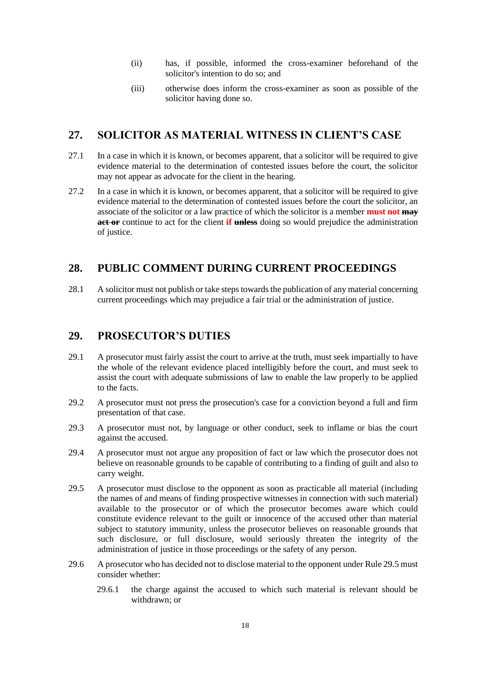- (ii) has, if possible, informed the cross-examiner beforehand of the solicitor's intention to do so; and
- (iii) otherwise does inform the cross-examiner as soon as possible of the solicitor having done so.

### <span id="page-17-0"></span>**27. SOLICITOR AS MATERIAL WITNESS IN CLIENT'S CASE**

- 27.1 In a case in which it is known, or becomes apparent, that a solicitor will be required to give evidence material to the determination of contested issues before the court, the solicitor may not appear as advocate for the client in the hearing.
- 27.2 In a case in which it is known, or becomes apparent, that a solicitor will be required to give evidence material to the determination of contested issues before the court the solicitor, an associate of the solicitor or a law practice of which the solicitor is a member **must not may act or** continue to act for the client **if unless** doing so would prejudice the administration of justice.

### <span id="page-17-1"></span>**28. PUBLIC COMMENT DURING CURRENT PROCEEDINGS**

28.1 A solicitor must not publish or take steps towards the publication of any material concerning current proceedings which may prejudice a fair trial or the administration of justice.

### <span id="page-17-2"></span>**29. PROSECUTOR'S DUTIES**

- 29.1 A prosecutor must fairly assist the court to arrive at the truth, must seek impartially to have the whole of the relevant evidence placed intelligibly before the court, and must seek to assist the court with adequate submissions of law to enable the law properly to be applied to the facts.
- 29.2 A prosecutor must not press the prosecution's case for a conviction beyond a full and firm presentation of that case.
- 29.3 A prosecutor must not, by language or other conduct, seek to inflame or bias the court against the accused.
- 29.4 A prosecutor must not argue any proposition of fact or law which the prosecutor does not believe on reasonable grounds to be capable of contributing to a finding of guilt and also to carry weight.
- 29.5 A prosecutor must disclose to the opponent as soon as practicable all material (including the names of and means of finding prospective witnesses in connection with such material) available to the prosecutor or of which the prosecutor becomes aware which could constitute evidence relevant to the guilt or innocence of the accused other than material subject to statutory immunity, unless the prosecutor believes on reasonable grounds that such disclosure, or full disclosure, would seriously threaten the integrity of the administration of justice in those proceedings or the safety of any person.
- 29.6 A prosecutor who has decided not to disclose material to the opponent under Rule 29.5 must consider whether:
	- 29.6.1 the charge against the accused to which such material is relevant should be withdrawn; or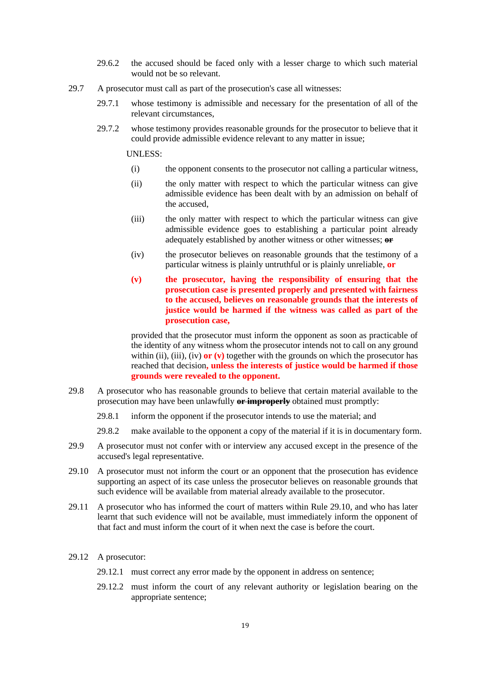- 29.6.2 the accused should be faced only with a lesser charge to which such material would not be so relevant.
- 29.7 A prosecutor must call as part of the prosecution's case all witnesses:
	- 29.7.1 whose testimony is admissible and necessary for the presentation of all of the relevant circumstances,
	- 29.7.2 whose testimony provides reasonable grounds for the prosecutor to believe that it could provide admissible evidence relevant to any matter in issue;

UNLESS:

- (i) the opponent consents to the prosecutor not calling a particular witness,
- (ii) the only matter with respect to which the particular witness can give admissible evidence has been dealt with by an admission on behalf of the accused,
- (iii) the only matter with respect to which the particular witness can give admissible evidence goes to establishing a particular point already adequately established by another witness or other witnesses; **or**
- (iv) the prosecutor believes on reasonable grounds that the testimony of a particular witness is plainly untruthful or is plainly unreliable, **or**
- **(v) the prosecutor, having the responsibility of ensuring that the prosecution case is presented properly and presented with fairness to the accused, believes on reasonable grounds that the interests of justice would be harmed if the witness was called as part of the prosecution case,**

provided that the prosecutor must inform the opponent as soon as practicable of the identity of any witness whom the prosecutor intends not to call on any ground within (ii), (iii), (iv) **or (v)** together with the grounds on which the prosecutor has reached that decision**, unless the interests of justice would be harmed if those grounds were revealed to the opponent.**

- 29.8 A prosecutor who has reasonable grounds to believe that certain material available to the prosecution may have been unlawfully **or improperly** obtained must promptly:
	- 29.8.1 inform the opponent if the prosecutor intends to use the material; and
	- 29.8.2 make available to the opponent a copy of the material if it is in documentary form.
- 29.9 A prosecutor must not confer with or interview any accused except in the presence of the accused's legal representative.
- 29.10 A prosecutor must not inform the court or an opponent that the prosecution has evidence supporting an aspect of its case unless the prosecutor believes on reasonable grounds that such evidence will be available from material already available to the prosecutor.
- 29.11 A prosecutor who has informed the court of matters within Rule 29.10, and who has later learnt that such evidence will not be available, must immediately inform the opponent of that fact and must inform the court of it when next the case is before the court.
- 29.12 A prosecutor:
	- 29.12.1 must correct any error made by the opponent in address on sentence;
	- 29.12.2 must inform the court of any relevant authority or legislation bearing on the appropriate sentence;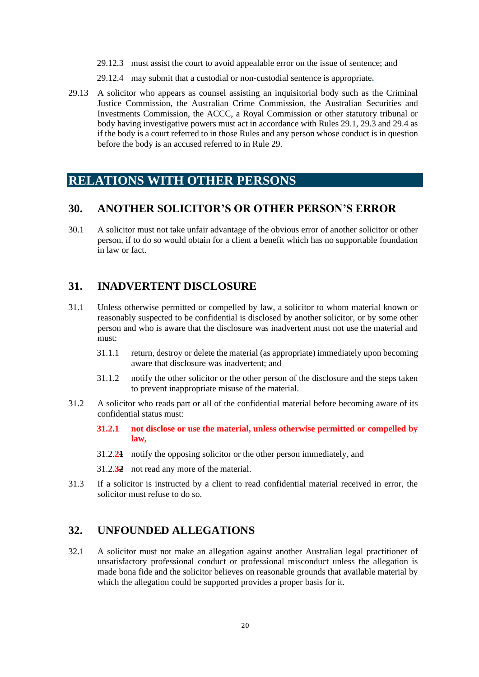- 29.12.3 must assist the court to avoid appealable error on the issue of sentence; and
- 29.12.4 may submit that a custodial or non-custodial sentence is appropriate**.**
- 29.13 A solicitor who appears as counsel assisting an inquisitorial body such as the Criminal Justice Commission, the Australian Crime Commission, the Australian Securities and Investments Commission, the ACCC, a Royal Commission or other statutory tribunal or body having investigative powers must act in accordance with Rules 29.1, 29.3 and 29.4 as if the body is a court referred to in those Rules and any person whose conduct is in question before the body is an accused referred to in Rule 29.

### <span id="page-19-0"></span>**RELATIONS WITH OTHER PERSONS**

#### <span id="page-19-1"></span>**30. ANOTHER SOLICITOR'S OR OTHER PERSON'S ERROR**

30.1 A solicitor must not take unfair advantage of the obvious error of another solicitor or other person, if to do so would obtain for a client a benefit which has no supportable foundation in law or fact.

### <span id="page-19-2"></span>**31. INADVERTENT DISCLOSURE**

- 31.1 Unless otherwise permitted or compelled by law, a solicitor to whom material known or reasonably suspected to be confidential is disclosed by another solicitor, or by some other person and who is aware that the disclosure was inadvertent must not use the material and must:
	- 31.1.1 return, destroy or delete the material (as appropriate) immediately upon becoming aware that disclosure was inadvertent; and
	- 31.1.2 notify the other solicitor or the other person of the disclosure and the steps taken to prevent inappropriate misuse of the material.
- 31.2 A solicitor who reads part or all of the confidential material before becoming aware of its confidential status must:
	- **31.2.1 not disclose or use the material, unless otherwise permitted or compelled by law,**
	- 31.2.**21** notify the opposing solicitor or the other person immediately, and
	- 31.2.**32** not read any more of the material.
- 31.3 If a solicitor is instructed by a client to read confidential material received in error, the solicitor must refuse to do so.

### <span id="page-19-3"></span>**32. UNFOUNDED ALLEGATIONS**

32.1 A solicitor must not make an allegation against another Australian legal practitioner of unsatisfactory professional conduct or professional misconduct unless the allegation is made bona fide and the solicitor believes on reasonable grounds that available material by which the allegation could be supported provides a proper basis for it.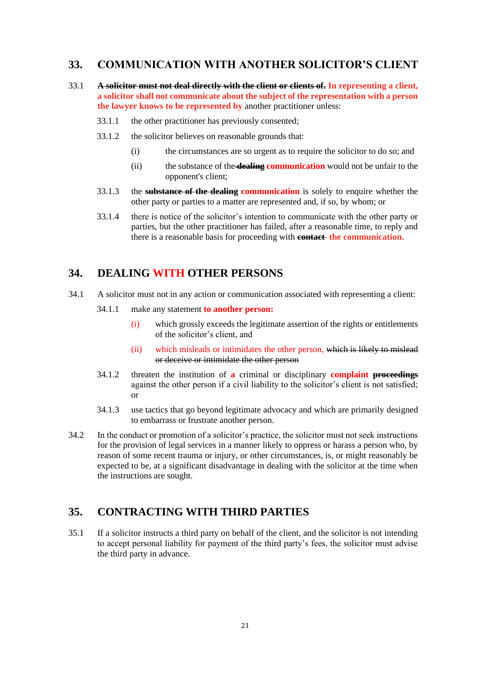### <span id="page-20-0"></span>**33. COMMUNICATION WITH ANOTHER SOLICITOR'S CLIENT**

- 33.1 **A solicitor must not deal directly with the client or clients of. In representing a client, a solicitor shall not communicate about the subject of the representation with a person the lawyer knows to be represented by** another practitioner unless:
	- 33.1.1 the other practitioner has previously consented;
	- 33.1.2 the solicitor believes on reasonable grounds that:
		- (i) the circumstances are so urgent as to require the solicitor to do so; and
		- (ii) the substance of the **dealing communication** would not be unfair to the opponent's client;
	- 33.1.3 the **substance of the dealing communication** is solely to enquire whether the other party or parties to a matter are represented and, if so, by whom; or
	- 33.1.4 there is notice of the solicitor's intention to communicate with the other party or parties, but the other practitioner has failed, after a reasonable time, to reply and there is a reasonable basis for proceeding with **contact the communication.**

### <span id="page-20-1"></span>**34. DEALING WITH OTHER PERSONS**

- 34.1 A solicitor must not in any action or communication associated with representing a client:
	- 34.1.1 make any statement **to another person:**
		- (i) which grossly exceeds the legitimate assertion of the rights or entitlements of the solicitor's client, and
		- (ii) which misleads or intimidates the other person, which is likely to mislead or deceive or intimidate the other person
	- 34.1.2 threaten the institution of **a** criminal or disciplinary **complaint proceedings** against the other person if a civil liability to the solicitor's client is not satisfied; or
	- 34.1.3 use tactics that go beyond legitimate advocacy and which are primarily designed to embarrass or frustrate another person.
- 34.2 In the conduct or promotion of a solicitor's practice, the solicitor must not seek instructions for the provision of legal services in a manner likely to oppress or harass a person who, by reason of some recent trauma or injury, or other circumstances, is, or might reasonably be expected to be, at a significant disadvantage in dealing with the solicitor at the time when the instructions are sought.

### <span id="page-20-2"></span>**35. CONTRACTING WITH THIRD PARTIES**

35.1 If a solicitor instructs a third party on behalf of the client, and the solicitor is not intending to accept personal liability for payment of the third party's fees, the solicitor must advise the third party in advance.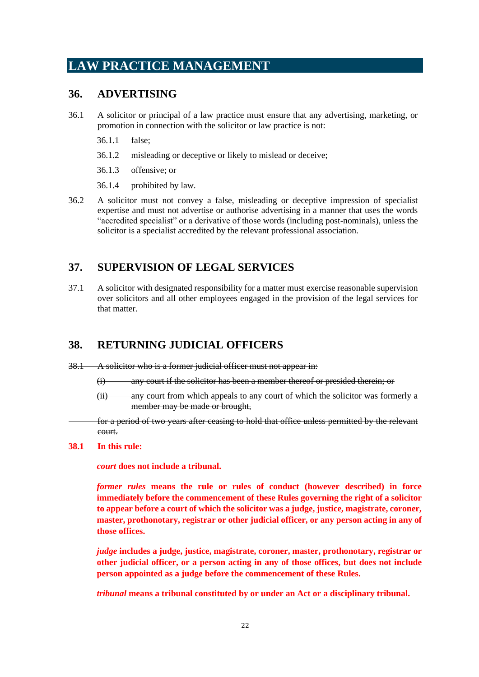# <span id="page-21-0"></span>**LAW PRACTICE MANAGEMENT**

### <span id="page-21-1"></span>**36. ADVERTISING**

- 36.1 A solicitor or principal of a law practice must ensure that any advertising, marketing, or promotion in connection with the solicitor or law practice is not:
	- 36.1.1 false;
	- 36.1.2 misleading or deceptive or likely to mislead or deceive;
	- 36.1.3 offensive; or
	- 36.1.4 prohibited by law.
- 36.2 A solicitor must not convey a false, misleading or deceptive impression of specialist expertise and must not advertise or authorise advertising in a manner that uses the words "accredited specialist" or a derivative of those words (including post-nominals), unless the solicitor is a specialist accredited by the relevant professional association.

### <span id="page-21-2"></span>**37. SUPERVISION OF LEGAL SERVICES**

37.1 A solicitor with designated responsibility for a matter must exercise reasonable supervision over solicitors and all other employees engaged in the provision of the legal services for that matter.

### <span id="page-21-3"></span>**38. RETURNING JUDICIAL OFFICERS**

- 38.1 A solicitor who is a former judicial officer must not appear in:
	- (i) any court if the solicitor has been a member thereof or presided therein; or
	- (ii) any court from which appeals to any court of which the solicitor was formerly a member may be made or brought,

for a period of two years after ceasing to hold that office unless permitted by the relevant court.

#### **38.1 In this rule:**

*court* **does not include a tribunal.** 

*former rules* **means the rule or rules of conduct (however described) in force immediately before the commencement of these Rules governing the right of a solicitor to appear before a court of which the solicitor was a judge, justice, magistrate, coroner, master, prothonotary, registrar or other judicial officer, or any person acting in any of those offices.** 

*judge* **includes a judge, justice, magistrate, coroner, master, prothonotary, registrar or other judicial officer, or a person acting in any of those offices, but does not include person appointed as a judge before the commencement of these Rules.** 

*tribunal* **means a tribunal constituted by or under an Act or a disciplinary tribunal.**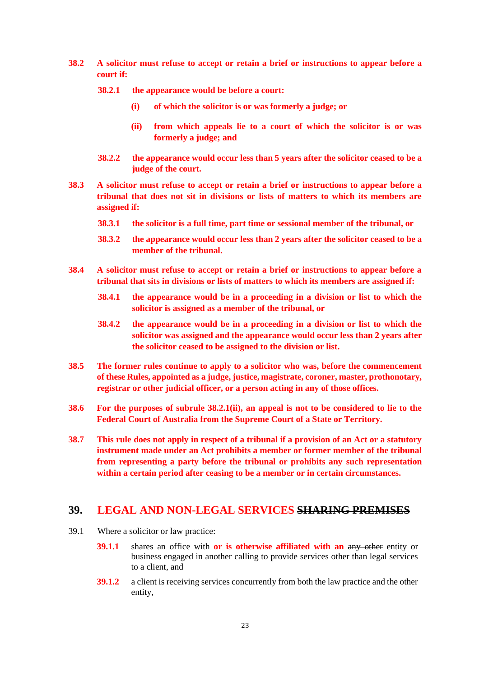- **38.2 A solicitor must refuse to accept or retain a brief or instructions to appear before a court if:** 
	- **38.2.1 the appearance would be before a court:** 
		- **(i) of which the solicitor is or was formerly a judge; or**
		- **(ii) from which appeals lie to a court of which the solicitor is or was formerly a judge; and**
	- **38.2.2 the appearance would occur less than 5 years after the solicitor ceased to be a judge of the court.**
- **38.3 A solicitor must refuse to accept or retain a brief or instructions to appear before a tribunal that does not sit in divisions or lists of matters to which its members are assigned if:** 
	- **38.3.1 the solicitor is a full time, part time or sessional member of the tribunal, or**
	- **38.3.2 the appearance would occur less than 2 years after the solicitor ceased to be a member of the tribunal.**
- **38.4 A solicitor must refuse to accept or retain a brief or instructions to appear before a tribunal that sits in divisions or lists of matters to which its members are assigned if:**
	- **38.4.1 the appearance would be in a proceeding in a division or list to which the solicitor is assigned as a member of the tribunal, or**
	- **38.4.2 the appearance would be in a proceeding in a division or list to which the solicitor was assigned and the appearance would occur less than 2 years after the solicitor ceased to be assigned to the division or list.**
- **38.5 The former rules continue to apply to a solicitor who was, before the commencement of these Rules, appointed as a judge, justice, magistrate, coroner, master, prothonotary, registrar or other judicial officer, or a person acting in any of those offices.**
- **38.6 For the purposes of subrule 38.2.1(ii), an appeal is not to be considered to lie to the Federal Court of Australia from the Supreme Court of a State or Territory.**
- **38.7 This rule does not apply in respect of a tribunal if a provision of an Act or a statutory instrument made under an Act prohibits a member or former member of the tribunal from representing a party before the tribunal or prohibits any such representation within a certain period after ceasing to be a member or in certain circumstances.**

### <span id="page-22-0"></span>**39. LEGAL AND NON-LEGAL SERVICES SHARING PREMISES**

- 39.1 Where a solicitor or law practice:
	- **39.1.1** shares an office with **or is otherwise affiliated with an** any other entity or business engaged in another calling to provide services other than legal services to a client, and
	- **39.1.2** a client is receiving services concurrently from both the law practice and the other entity,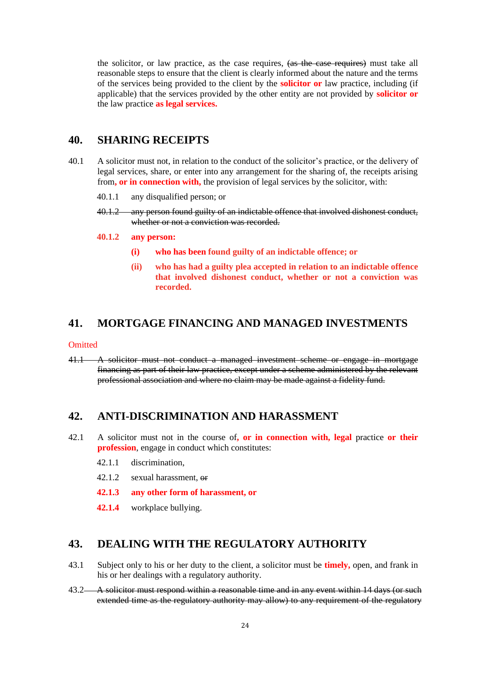the solicitor, or law practice, as the case requires, (as the case requires) must take all reasonable steps to ensure that the client is clearly informed about the nature and the terms of the services being provided to the client by the **solicitor or** law practice, including (if applicable) that the services provided by the other entity are not provided by **solicitor or** the law practice **as legal services.**

### <span id="page-23-0"></span>**40. SHARING RECEIPTS**

- 40.1 A solicitor must not, in relation to the conduct of the solicitor's practice, or the delivery of legal services, share, or enter into any arrangement for the sharing of, the receipts arising from**, or in connection with,** the provision of legal services by the solicitor, with:
	- 40.1.1 any disqualified person; or
	- 40.1.2 any person found guilty of an indictable offence that involved dishonest conduct, whether or not a conviction was recorded.
	- **40.1.2 any person:**
		- **(i) who has been found guilty of an indictable offence; or**
		- **(ii) who has had a guilty plea accepted in relation to an indictable offence that involved dishonest conduct, whether or not a conviction was recorded.**

#### <span id="page-23-1"></span>**41. MORTGAGE FINANCING AND MANAGED INVESTMENTS**

#### **Omitted**

41.1 A solicitor must not conduct a managed investment scheme or engage in mortgage financing as part of their law practice, except under a scheme administered by the relevant professional association and where no claim may be made against a fidelity fund.

### <span id="page-23-2"></span>**42. ANTI-DISCRIMINATION AND HARASSMENT**

- 42.1 A solicitor must not in the course of**, or in connection with, legal** practice **or their profession**, engage in conduct which constitutes:
	- 42.1.1 discrimination,
	- 42.1.2 sexual harassment, or
	- **42.1.3 any other form of harassment, or**
	- **42.1.4** workplace bullying.

### <span id="page-23-3"></span>**43. DEALING WITH THE REGULATORY AUTHORITY**

- 43.1 Subject only to his or her duty to the client, a solicitor must be **timely,** open, and frank in his or her dealings with a regulatory authority.
- 43.2 A solicitor must respond within a reasonable time and in any event within 14 days (or such extended time as the regulatory authority may allow) to any requirement of the regulatory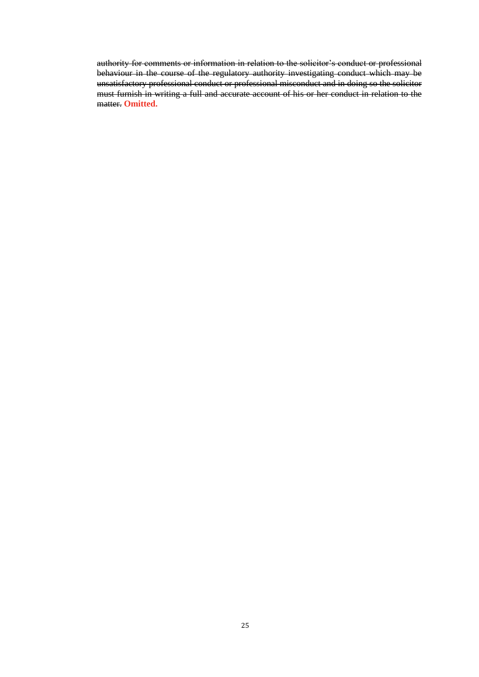authority for comments or information in relation to the solicitor's conduct or professional behaviour in the course of the regulatory authority investigating conduct which may be unsatisfactory professional conduct or professional misconduct and in doing so the solicitor must furnish in writing a full and accurate account of his or her conduct in relation to the matter. **Omitted.**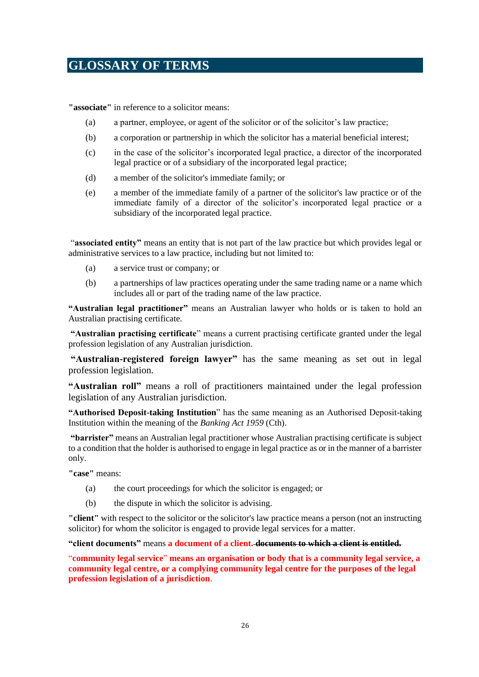# <span id="page-25-0"></span>**GLOSSARY OF TERMS**

**"associate"** in reference to a solicitor means:

- (a) a partner, employee, or agent of the solicitor or of the solicitor's law practice;
- (b) a corporation or partnership in which the solicitor has a material beneficial interest;
- (c) in the case of the solicitor's incorporated legal practice, a director of the incorporated legal practice or of a subsidiary of the incorporated legal practice;
- (d) a member of the solicitor's immediate family; or
- (e) a member of the immediate family of a partner of the solicitor's law practice or of the immediate family of a director of the solicitor's incorporated legal practice or a subsidiary of the incorporated legal practice.

"**associated entity"** means an entity that is not part of the law practice but which provides legal or administrative services to a law practice, including but not limited to:

- (a) a service trust or company; or
- (b) a partnerships of law practices operating under the same trading name or a name which includes all or part of the trading name of the law practice.

**"Australian legal practitioner"** means an Australian lawyer who holds or is taken to hold an Australian practising certificate.

**"Australian practising certificate**" means a current practising certificate granted under the legal profession legislation of any Australian jurisdiction.

**"Australian-registered foreign lawyer"** has the same meaning as set out in legal profession legislation.

**"Australian roll"** means a roll of practitioners maintained under the legal profession legislation of any Australian jurisdiction.

**"Authorised Deposit-taking Institution**" has the same meaning as an Authorised Deposit-taking Institution within the meaning of the *Banking Act 1959* (Cth).

**"barrister"** means an Australian legal practitioner whose Australian practising certificate is subject to a condition that the holder is authorised to engage in legal practice as or in the manner of a barrister only.

**"case"** means:

- (a) the court proceedings for which the solicitor is engaged; or
- (b) the dispute in which the solicitor is advising.

**"client"** with respect to the solicitor or the solicitor's law practice means a person (not an instructing solicitor) for whom the solicitor is engaged to provide legal services for a matter.

**"client documents"** means **a document of a client. documents to which a client is entitled.**

"**community legal service**" **means an organisation or body that is a community legal service, a community legal centre, or a complying community legal centre for the purposes of the legal profession legislation of a jurisdiction**.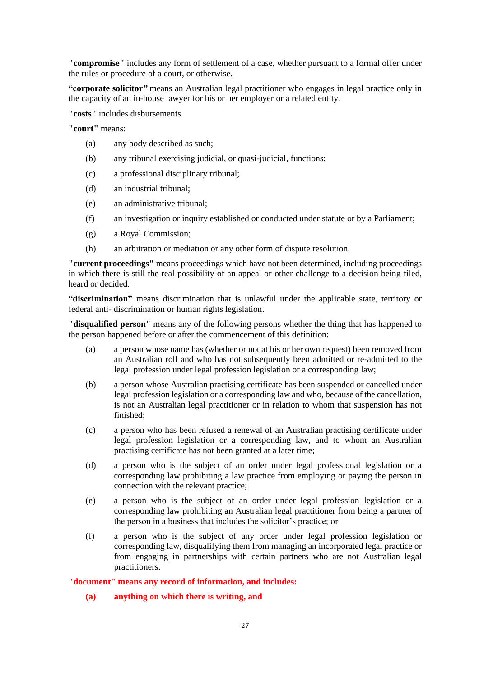**"compromise"** includes any form of settlement of a case, whether pursuant to a formal offer under the rules or procedure of a court, or otherwise.

**"corporate solicitor***"* means an Australian legal practitioner who engages in legal practice only in the capacity of an in-house lawyer for his or her employer or a related entity.

**"costs"** includes disbursements.

**"court"** means:

- (a) any body described as such;
- (b) any tribunal exercising judicial, or quasi-judicial, functions;
- (c) a professional disciplinary tribunal;
- (d) an industrial tribunal;
- (e) an administrative tribunal;
- (f) an investigation or inquiry established or conducted under statute or by a Parliament;
- (g) a Royal Commission;
- (h) an arbitration or mediation or any other form of dispute resolution.

**"current proceedings"** means proceedings which have not been determined, including proceedings in which there is still the real possibility of an appeal or other challenge to a decision being filed, heard or decided.

**"discrimination"** means discrimination that is unlawful under the applicable state, territory or federal anti- discrimination or human rights legislation.

**"disqualified person"** means any of the following persons whether the thing that has happened to the person happened before or after the commencement of this definition:

- (a) a person whose name has (whether or not at his or her own request) been removed from an Australian roll and who has not subsequently been admitted or re-admitted to the legal profession under legal profession legislation or a corresponding law;
- (b) a person whose Australian practising certificate has been suspended or cancelled under legal profession legislation or a corresponding law and who, because of the cancellation, is not an Australian legal practitioner or in relation to whom that suspension has not finished;
- (c) a person who has been refused a renewal of an Australian practising certificate under legal profession legislation or a corresponding law, and to whom an Australian practising certificate has not been granted at a later time;
- (d) a person who is the subject of an order under legal professional legislation or a corresponding law prohibiting a law practice from employing or paying the person in connection with the relevant practice;
- (e) a person who is the subject of an order under legal profession legislation or a corresponding law prohibiting an Australian legal practitioner from being a partner of the person in a business that includes the solicitor's practice; or
- (f) a person who is the subject of any order under legal profession legislation or corresponding law, disqualifying them from managing an incorporated legal practice or from engaging in partnerships with certain partners who are not Australian legal practitioners.

**"document" means any record of information, and includes:**

#### **(a) anything on which there is writing, and**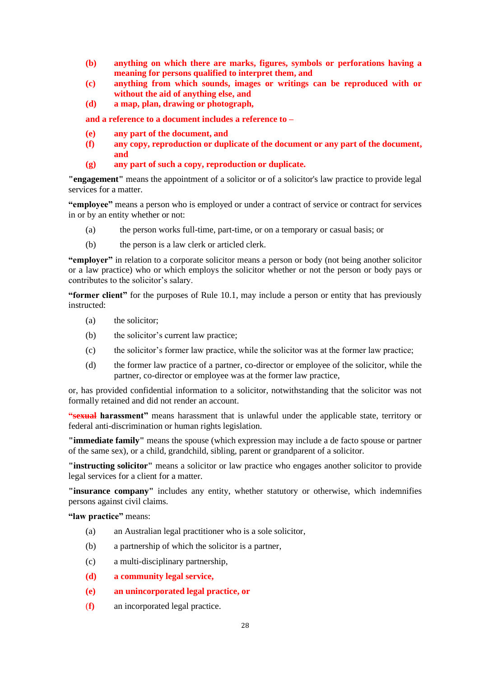- **(b) anything on which there are marks, figures, symbols or perforations having a meaning for persons qualified to interpret them, and**
- **(c) anything from which sounds, images or writings can be reproduced with or without the aid of anything else, and**
- **(d) a map, plan, drawing or photograph,**

**and a reference to a document includes a reference to –**

- **(e) any part of the document, and**
- **(f) any copy, reproduction or duplicate of the document or any part of the document, and**
- **(g) any part of such a copy, reproduction or duplicate.**

**"engagement"** means the appointment of a solicitor or of a solicitor's law practice to provide legal services for a matter.

**"employee"** means a person who is employed or under a contract of service or contract for services in or by an entity whether or not:

- (a) the person works full-time, part-time, or on a temporary or casual basis; or
- (b) the person is a law clerk or articled clerk.

**"employer"** in relation to a corporate solicitor means a person or body (not being another solicitor or a law practice) who or which employs the solicitor whether or not the person or body pays or contributes to the solicitor's salary.

**"former client"** for the purposes of Rule 10.1, may include a person or entity that has previously instructed:

- (a) the solicitor;
- (b) the solicitor's current law practice;
- (c) the solicitor's former law practice, while the solicitor was at the former law practice;
- (d) the former law practice of a partner, co-director or employee of the solicitor, while the partner, co-director or employee was at the former law practice,

or, has provided confidential information to a solicitor, notwithstanding that the solicitor was not formally retained and did not render an account.

**"sexual harassment"** means harassment that is unlawful under the applicable state, territory or federal anti-discrimination or human rights legislation.

**"immediate family"** means the spouse (which expression may include a de facto spouse or partner of the same sex), or a child, grandchild, sibling, parent or grandparent of a solicitor.

**"instructing solicitor"** means a solicitor or law practice who engages another solicitor to provide legal services for a client for a matter.

**"insurance company"** includes any entity, whether statutory or otherwise, which indemnifies persons against civil claims.

**"law practice"** means:

- (a) an Australian legal practitioner who is a sole solicitor,
- (b) a partnership of which the solicitor is a partner,
- (c) a multi-disciplinary partnership,
- **(d) a community legal service,**
- **(e) an unincorporated legal practice, or**
- (**f)** an incorporated legal practice.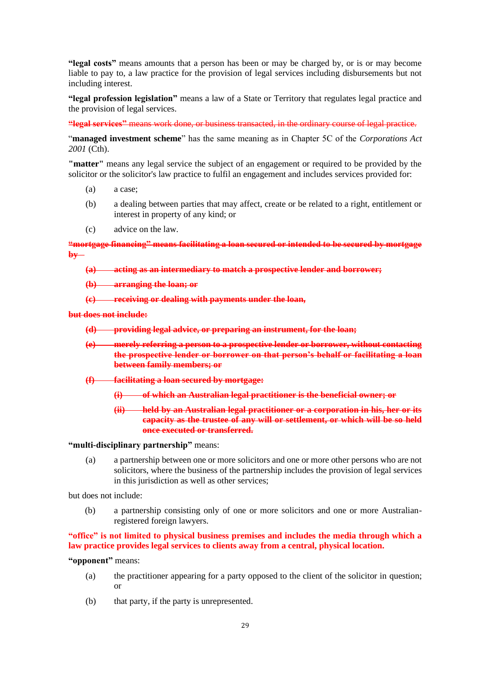**"legal costs"** means amounts that a person has been or may be charged by, or is or may become liable to pay to, a law practice for the provision of legal services including disbursements but not including interest.

**"legal profession legislation"** means a law of a State or Territory that regulates legal practice and the provision of legal services.

**"legal services"** means work done, or business transacted, in the ordinary course of legal practice.

"**managed investment scheme**" has the same meaning as in Chapter 5C of the *Corporations Act 2001* (Cth).

**"matter"** means any legal service the subject of an engagement or required to be provided by the solicitor or the solicitor's law practice to fulfil an engagement and includes services provided for:

- (a) a case;
- (b) a dealing between parties that may affect, create or be related to a right, entitlement or interest in property of any kind; or
- (c) advice on the law.

**"mortgage financing" means facilitating a loan secured or intended to be secured by mortgage by –**

**(a) acting as an intermediary to match a prospective lender and borrower;**

**(b) arranging the loan; or**

**(c) receiving or dealing with payments under the loan,**

#### **but does not include:**

**(d) providing legal advice, or preparing an instrument, for the loan;**

- **(e) merely referring a person to a prospective lender or borrower, without contacting the prospective lender or borrower on that person's behalf or facilitating a loan between family members; or**
- **(f) facilitating a loan secured by mortgage:**
	- **(i) of which an Australian legal practitioner is the beneficial owner; or**
	- **(ii) held by an Australian legal practitioner or a corporation in his, her or its capacity as the trustee of any will or settlement, or which will be so held once executed or transferred.**

#### **"multi-disciplinary partnership"** means:

(a) a partnership between one or more solicitors and one or more other persons who are not solicitors, where the business of the partnership includes the provision of legal services in this jurisdiction as well as other services;

but does not include:

(b) a partnership consisting only of one or more solicitors and one or more Australianregistered foreign lawyers.

**"office" is not limited to physical business premises and includes the media through which a law practice provides legal services to clients away from a central, physical location.**

#### **"opponent"** means:

- (a) the practitioner appearing for a party opposed to the client of the solicitor in question; or
- (b) that party, if the party is unrepresented.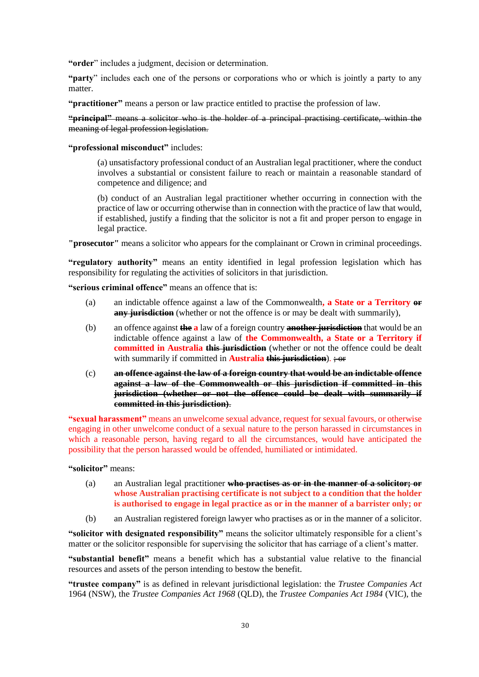**"order**" includes a judgment, decision or determination.

**"party**" includes each one of the persons or corporations who or which is jointly a party to any matter.

**"practitioner"** means a person or law practice entitled to practise the profession of law.

**"principal"** means a solicitor who is the holder of a principal practising certificate, within the meaning of legal profession legislation.

#### **"professional misconduct"** includes:

(a) unsatisfactory professional conduct of an Australian legal practitioner, where the conduct involves a substantial or consistent failure to reach or maintain a reasonable standard of competence and diligence; and

(b) conduct of an Australian legal practitioner whether occurring in connection with the practice of law or occurring otherwise than in connection with the practice of law that would, if established, justify a finding that the solicitor is not a fit and proper person to engage in legal practice.

**"prosecutor"** means a solicitor who appears for the complainant or Crown in criminal proceedings.

"regulatory authority" means an entity identified in legal profession legislation which has responsibility for regulating the activities of solicitors in that jurisdiction.

**"serious criminal offence"** means an offence that is:

- (a) an indictable offence against a law of the Commonwealth**, a State or a Territory or any jurisdiction** (whether or not the offence is or may be dealt with summarily),
- (b) an offence against **the a** law of a foreign country **another jurisdiction** that would be an indictable offence against a law of **the Commonwealth, a State or a Territory if committed in Australia this jurisdiction** (whether or not the offence could be dealt with summarily if committed in **Australia this jurisdiction**).  $\div$ **or**
- (c) **an offence against the law of a foreign country that would be an indictable offence against a law of the Commonwealth or this jurisdiction if committed in this jurisdiction (whether or not the offence could be dealt with summarily if committed in this jurisdiction)**.

**"sexual harassment"** means an unwelcome sexual advance, request for sexual favours, or otherwise engaging in other unwelcome conduct of a sexual nature to the person harassed in circumstances in which a reasonable person, having regard to all the circumstances, would have anticipated the possibility that the person harassed would be offended, humiliated or intimidated.

**"solicitor"** means:

- (a) an Australian legal practitioner **who practises as or in the manner of a solicitor; or whose Australian practising certificate is not subject to a condition that the holder is authorised to engage in legal practice as or in the manner of a barrister only; or**
- (b) an Australian registered foreign lawyer who practises as or in the manner of a solicitor.

**"solicitor with designated responsibility"** means the solicitor ultimately responsible for a client's matter or the solicitor responsible for supervising the solicitor that has carriage of a client's matter.

**"substantial benefit"** means a benefit which has a substantial value relative to the financial resources and assets of the person intending to bestow the benefit.

**"trustee company"** is as defined in relevant jurisdictional legislation: the *Trustee Companies Act* 1964 (NSW), the *Trustee Companies Act 1968* (QLD), the *Trustee Companies Act 1984* (VIC), the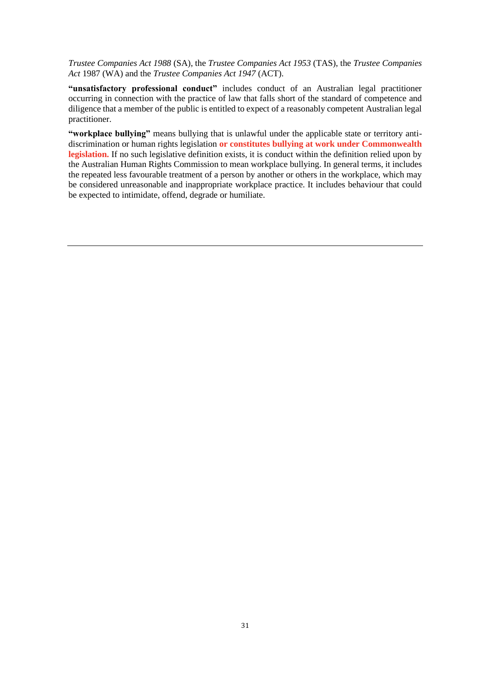*Trustee Companies Act 1988* (SA), the *Trustee Companies Act 1953* (TAS), the *Trustee Companies Act* 1987 (WA) and the *Trustee Companies Act 1947* (ACT).

**"unsatisfactory professional conduct"** includes conduct of an Australian legal practitioner occurring in connection with the practice of law that falls short of the standard of competence and diligence that a member of the public is entitled to expect of a reasonably competent Australian legal practitioner.

**"workplace bullying"** means bullying that is unlawful under the applicable state or territory antidiscrimination or human rights legislation **or constitutes bullying at work under Commonwealth legislation.** If no such legislative definition exists, it is conduct within the definition relied upon by the Australian Human Rights Commission to mean workplace bullying. In general terms, it includes the repeated less favourable treatment of a person by another or others in the workplace, which may be considered unreasonable and inappropriate workplace practice. It includes behaviour that could be expected to intimidate, offend, degrade or humiliate.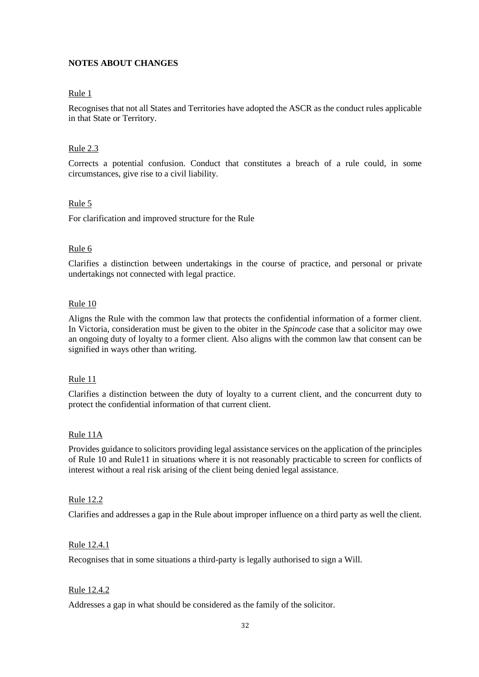#### **NOTES ABOUT CHANGES**

#### Rule 1

Recognises that not all States and Territories have adopted the ASCR as the conduct rules applicable in that State or Territory.

#### Rule 2.3

Corrects a potential confusion. Conduct that constitutes a breach of a rule could, in some circumstances, give rise to a civil liability.

#### Rule 5

For clarification and improved structure for the Rule

#### Rule 6

Clarifies a distinction between undertakings in the course of practice, and personal or private undertakings not connected with legal practice.

#### Rule 10

Aligns the Rule with the common law that protects the confidential information of a former client. In Victoria, consideration must be given to the obiter in the *Spincode* case that a solicitor may owe an ongoing duty of loyalty to a former client. Also aligns with the common law that consent can be signified in ways other than writing.

#### Rule 11

Clarifies a distinction between the duty of loyalty to a current client, and the concurrent duty to protect the confidential information of that current client.

#### Rule 11A

Provides guidance to solicitors providing legal assistance services on the application of the principles of Rule 10 and Rule11 in situations where it is not reasonably practicable to screen for conflicts of interest without a real risk arising of the client being denied legal assistance.

#### Rule 12.2

Clarifies and addresses a gap in the Rule about improper influence on a third party as well the client.

#### Rule 12.4.1

Recognises that in some situations a third-party is legally authorised to sign a Will.

#### Rule 12.4.2

Addresses a gap in what should be considered as the family of the solicitor.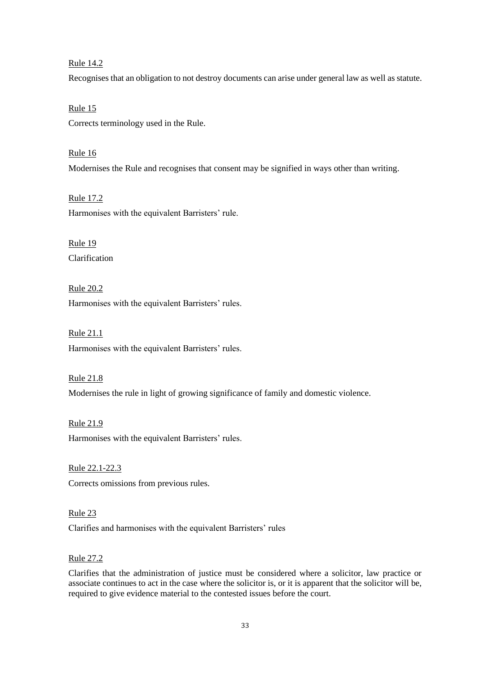#### Rule 14.2

Recognises that an obligation to not destroy documents can arise under general law as well as statute.

Rule 15 Corrects terminology used in the Rule.

Rule 16 Modernises the Rule and recognises that consent may be signified in ways other than writing.

Rule 17.2 Harmonises with the equivalent Barristers' rule.

Rule 19 Clarification

Rule 20.2 Harmonises with the equivalent Barristers' rules.

Rule 21.1 Harmonises with the equivalent Barristers' rules.

Rule 21.8 Modernises the rule in light of growing significance of family and domestic violence.

Rule 21.9 Harmonises with the equivalent Barristers' rules.

Rule 22.1-22.3 Corrects omissions from previous rules.

Rule 23 Clarifies and harmonises with the equivalent Barristers' rules

#### Rule 27.2

Clarifies that the administration of justice must be considered where a solicitor, law practice or associate continues to act in the case where the solicitor is, or it is apparent that the solicitor will be, required to give evidence material to the contested issues before the court.